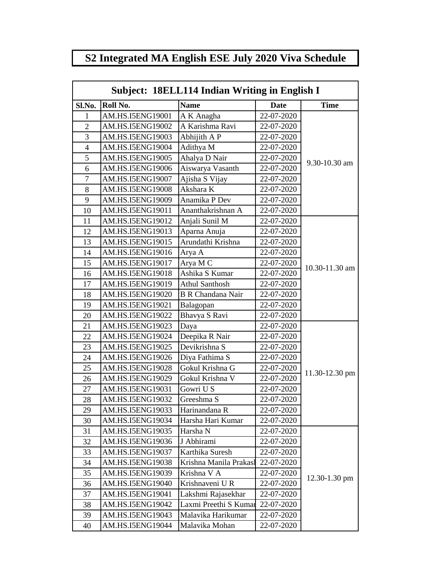## **S2 Integrated MA English ESE July 2020 Viva Schedule**

| Subject: 18ELL114 Indian Writing in English I |                  |                          |             |                |  |
|-----------------------------------------------|------------------|--------------------------|-------------|----------------|--|
| Sl.No.                                        | Roll No.         | Date                     | <b>Time</b> |                |  |
| 1                                             | AM.HS.I5ENG19001 | A K Anagha               | 22-07-2020  |                |  |
| 2                                             | AM.HS.I5ENG19002 | A Karishma Ravi          | 22-07-2020  |                |  |
| 3                                             | AM.HS.I5ENG19003 | Abhijith A P             | 22-07-2020  |                |  |
| $\overline{4}$                                | AM.HS.I5ENG19004 | Adithya M                | 22-07-2020  |                |  |
| 5                                             | AM.HS.I5ENG19005 | Ahalya D Nair            | 22-07-2020  | 9.30-10.30 am  |  |
| 6                                             | AM.HS.I5ENG19006 | Aiswarya Vasanth         | 22-07-2020  |                |  |
| 7                                             | AM.HS.I5ENG19007 | Ajisha S Vijay           | 22-07-2020  |                |  |
| 8                                             | AM.HS.I5ENG19008 | Akshara K                | 22-07-2020  |                |  |
| 9                                             | AM.HS.I5ENG19009 | Anamika P Dev            | 22-07-2020  |                |  |
| 10                                            | AM.HS.I5ENG19011 | Ananthakrishnan A        | 22-07-2020  |                |  |
| 11                                            | AM.HS.I5ENG19012 | Anjali Sunil M           | 22-07-2020  |                |  |
| 12                                            | AM.HS.I5ENG19013 | Aparna Anuja             | 22-07-2020  |                |  |
| 13                                            | AM.HS.I5ENG19015 | Arundathi Krishna        | 22-07-2020  |                |  |
| 14                                            | AM.HS.I5ENG19016 | Arya A                   | 22-07-2020  |                |  |
| 15                                            | AM.HS.I5ENG19017 | Arya M C                 | 22-07-2020  |                |  |
| 16                                            | AM.HS.I5ENG19018 | Ashika S Kumar           | 22-07-2020  | 10.30-11.30 am |  |
| 17                                            | AM.HS.I5ENG19019 | <b>Athul Santhosh</b>    | 22-07-2020  |                |  |
| 18                                            | AM.HS.I5ENG19020 | <b>B R Chandana Nair</b> | 22-07-2020  |                |  |
| 19                                            | AM.HS.I5ENG19021 | Balagopan                | 22-07-2020  |                |  |
| 20                                            | AM.HS.I5ENG19022 | Bhavya S Ravi            | 22-07-2020  |                |  |
| 21                                            | AM.HS.I5ENG19023 | Daya                     | 22-07-2020  |                |  |
| 22                                            | AM.HS.I5ENG19024 | Deepika R Nair           | 22-07-2020  |                |  |
| 23                                            | AM.HS.I5ENG19025 | Devikrishna S            | 22-07-2020  |                |  |
| 24                                            | AM.HS.I5ENG19026 | Diya Fathima S           | 22-07-2020  |                |  |
| 25                                            | AM.HS.I5ENG19028 | Gokul Krishna G          | 22-07-2020  | 11.30-12.30 pm |  |
| 26                                            | AM.HS.I5ENG19029 | Gokul Krishna V          | 22-07-2020  |                |  |
| 27                                            | AM.HS.I5ENG19031 | Gowri U S                | 22-07-2020  |                |  |
| 28                                            | AM.HS.I5ENG19032 | Greeshma S               | 22-07-2020  |                |  |
| 29                                            | AM.HS.I5ENG19033 | Harinandana R            | 22-07-2020  |                |  |
| 30                                            | AM.HS.I5ENG19034 | Harsha Hari Kumar        | 22-07-2020  |                |  |
| 31                                            | AM.HS.I5ENG19035 | Harsha N                 | 22-07-2020  |                |  |
| 32                                            | AM.HS.I5ENG19036 | J Abhirami               | 22-07-2020  |                |  |
| 33                                            | AM.HS.I5ENG19037 | Karthika Suresh          | 22-07-2020  |                |  |
| 34                                            | AM.HS.I5ENG19038 | Krishna Manila Prakasł   | 22-07-2020  |                |  |
| 35                                            | AM.HS.I5ENG19039 | Krishna V A              | 22-07-2020  | 12.30-1.30 pm  |  |
| 36                                            | AM.HS.I5ENG19040 | Krishnaveni U R          | 22-07-2020  |                |  |
| 37                                            | AM.HS.I5ENG19041 | Lakshmi Rajasekhar       | 22-07-2020  |                |  |
| 38                                            | AM.HS.I5ENG19042 | Laxmi Preethi S Kumar    | 22-07-2020  |                |  |
| 39                                            | AM.HS.I5ENG19043 | Malavika Harikumar       | 22-07-2020  |                |  |
| 40                                            | AM.HS.I5ENG19044 | Malavika Mohan           | 22-07-2020  |                |  |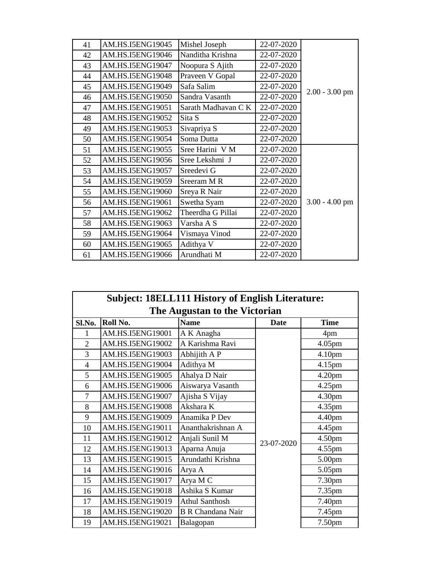| 41 | AM.HS.I5ENG19045 | Mishel Joseph       | 22-07-2020 |                  |
|----|------------------|---------------------|------------|------------------|
| 42 | AM.HS.I5ENG19046 | Nanditha Krishna    | 22-07-2020 |                  |
| 43 | AM.HS.I5ENG19047 | Noopura S Ajith     | 22-07-2020 |                  |
| 44 | AM.HS.I5ENG19048 | Praveen V Gopal     | 22-07-2020 |                  |
| 45 | AM.HS.I5ENG19049 | Safa Salim          | 22-07-2020 | $2.00 - 3.00$ pm |
| 46 | AM.HS.I5ENG19050 | Sandra Vasanth      | 22-07-2020 |                  |
| 47 | AM.HS.I5ENG19051 | Sarath Madhavan C K | 22-07-2020 |                  |
| 48 | AM.HS.I5ENG19052 | Sita S              | 22-07-2020 |                  |
| 49 | AM.HS.I5ENG19053 | Sivapriya S         | 22-07-2020 |                  |
| 50 | AM.HS.I5ENG19054 | Soma Dutta          | 22-07-2020 |                  |
| 51 | AM.HS.I5ENG19055 | Sree Harini V M     | 22-07-2020 |                  |
| 52 | AM.HS.I5ENG19056 | Sree Lekshmi J      | 22-07-2020 |                  |
| 53 | AM.HS.I5ENG19057 | Sreedevi G          | 22-07-2020 |                  |
| 54 | AM.HS.I5ENG19059 | Sreeram MR          | 22-07-2020 |                  |
| 55 | AM.HS.I5ENG19060 | Sreya R Nair        | 22-07-2020 |                  |
| 56 | AM.HS.I5ENG19061 | Swetha Syam         | 22-07-2020 | $3.00 - 4.00$ pm |
| 57 | AM.HS.I5ENG19062 | Theerdha G Pillai   | 22-07-2020 |                  |
| 58 | AM.HS.I5ENG19063 | Varsha A S          | 22-07-2020 |                  |
| 59 | AM.HS.I5ENG19064 | Vismaya Vinod       | 22-07-2020 |                  |
| 60 | AM.HS.I5ENG19065 | Adithya V           | 22-07-2020 |                  |
| 61 | AM.HS.I5ENG19066 | Arundhati M         | 22-07-2020 |                  |

| <b>Subject: 18ELL111 History of English Literature:</b> |                  |                          |            |                    |  |  |
|---------------------------------------------------------|------------------|--------------------------|------------|--------------------|--|--|
| The Augustan to the Victorian                           |                  |                          |            |                    |  |  |
| Sl.No.                                                  | Roll No.         | <b>Name</b>              | Date       | <b>Time</b>        |  |  |
| 1                                                       | AM.HS.I5ENG19001 | A K Anagha               |            | 4pm                |  |  |
| $\overline{2}$                                          | AM.HS.I5ENG19002 | A Karishma Ravi          |            | 4.05pm             |  |  |
| 3                                                       | AM.HS.I5ENG19003 | Abhijith A P             |            | 4.10pm             |  |  |
| 4                                                       | AM.HS.I5ENG19004 | Adithya M                |            | 4.15pm             |  |  |
| 5                                                       | AM.HS.I5ENG19005 | Ahalya D Nair            |            | 4.20 <sub>pm</sub> |  |  |
| 6                                                       | AM.HS.I5ENG19006 | Aiswarya Vasanth         |            | $4.25$ pm          |  |  |
| 7                                                       | AM.HS.I5ENG19007 | Ajisha S Vijay           |            | 4.30pm             |  |  |
| 8                                                       | AM.HS.I5ENG19008 | Akshara K                |            | 4.35 <sub>pm</sub> |  |  |
| 9                                                       | AM.HS.I5ENG19009 | Anamika P Dev            |            | 4.40pm             |  |  |
| 10                                                      | AM.HS.I5ENG19011 | Ananthakrishnan A        |            | 4.45pm             |  |  |
| 11                                                      | AM.HS.I5ENG19012 | Anjali Sunil M           | 23-07-2020 | 4.50 <sub>pm</sub> |  |  |
| 12                                                      | AM.HS.I5ENG19013 | Aparna Anuja             |            | $4.55$ pm          |  |  |
| 13                                                      | AM.HS.I5ENG19015 | Arundathi Krishna        |            | 5.00 <sub>pm</sub> |  |  |
| 14                                                      | AM.HS.I5ENG19016 | Arya A                   |            | 5.05pm             |  |  |
| 15                                                      | AM.HS.I5ENG19017 | Arya M C                 |            | 7.30pm             |  |  |
| 16                                                      | AM.HS.I5ENG19018 | Ashika S Kumar           |            | 7.35pm             |  |  |
| 17                                                      | AM.HS.I5ENG19019 | <b>Athul Santhosh</b>    |            | 7.40pm             |  |  |
| 18                                                      | AM.HS.I5ENG19020 | <b>B R Chandana Nair</b> |            | 7.45pm             |  |  |
| 19                                                      | AM.HS.I5ENG19021 | Balagopan                |            | 7.50pm             |  |  |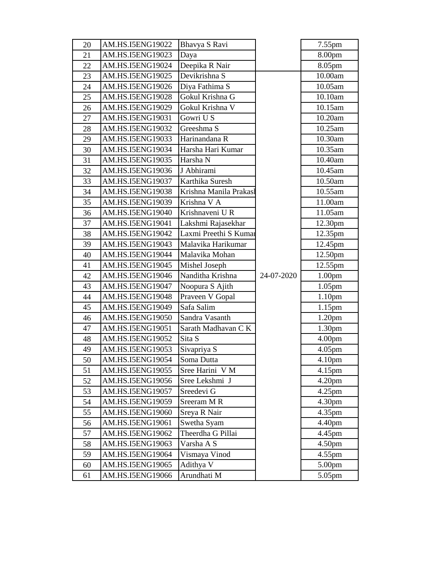| 20 | AM.HS.I5ENG19022 | Bhavya S Ravi         |            | 7.55pm             |
|----|------------------|-----------------------|------------|--------------------|
| 21 | AM.HS.I5ENG19023 | Daya                  |            | 8.00pm             |
| 22 | AM.HS.I5ENG19024 | Deepika R Nair        |            | 8.05pm             |
| 23 | AM.HS.I5ENG19025 | Devikrishna S         |            | 10.00am            |
| 24 | AM.HS.I5ENG19026 | Diya Fathima S        |            | 10.05am            |
| 25 | AM.HS.I5ENG19028 | Gokul Krishna G       |            | 10.10am            |
| 26 | AM.HS.I5ENG19029 | Gokul Krishna V       |            | 10.15am            |
| 27 | AM.HS.I5ENG19031 | Gowri U S             |            | 10.20am            |
| 28 | AM.HS.I5ENG19032 | Greeshma S            |            | 10.25am            |
| 29 | AM.HS.I5ENG19033 | Harinandana R         |            | 10.30am            |
| 30 | AM.HS.I5ENG19034 | Harsha Hari Kumar     |            | 10.35am            |
| 31 | AM.HS.I5ENG19035 | Harsha N              |            | 10.40am            |
| 32 | AM.HS.I5ENG19036 | J Abhirami            |            | 10.45am            |
| 33 | AM.HS.I5ENG19037 | Karthika Suresh       |            | 10.50am            |
| 34 | AM.HS.I5ENG19038 | Krishna Manila Prakas |            | 10.55am            |
| 35 | AM.HS.I5ENG19039 | Krishna V A           |            | 11.00am            |
| 36 | AM.HS.I5ENG19040 | Krishnaveni U R       |            | 11.05am            |
| 37 | AM.HS.I5ENG19041 | Lakshmi Rajasekhar    |            | 12.30pm            |
| 38 | AM.HS.I5ENG19042 | Laxmi Preethi S Kumar |            | 12.35pm            |
| 39 | AM.HS.I5ENG19043 | Malavika Harikumar    |            | 12.45pm            |
| 40 | AM.HS.I5ENG19044 | Malavika Mohan        |            | 12.50pm            |
| 41 | AM.HS.I5ENG19045 | Mishel Joseph         |            | 12.55pm            |
| 42 | AM.HS.I5ENG19046 | Nanditha Krishna      | 24-07-2020 | 1.00 <sub>pm</sub> |
| 43 | AM.HS.I5ENG19047 | Noopura S Ajith       |            | 1.05 <sub>pm</sub> |
| 44 | AM.HS.I5ENG19048 | Praveen V Gopal       |            | 1.10 <sub>pm</sub> |
| 45 | AM.HS.I5ENG19049 | Safa Salim            |            | 1.15 <sub>pm</sub> |
| 46 | AM.HS.I5ENG19050 | Sandra Vasanth        |            | 1.20 <sub>pm</sub> |
| 47 | AM.HS.I5ENG19051 | Sarath Madhavan CK    |            | 1.30 <sub>pm</sub> |
| 48 | AM.HS.I5ENG19052 | Sita S                |            | 4.00 <sub>pm</sub> |
| 49 | AM.HS.I5ENG19053 | Sivapriya S           |            | 4.05 <sub>pm</sub> |
| 50 | AM.HS.I5ENG19054 | Soma Dutta            |            | 4.10pm             |
| 51 | AM.HS.I5ENG19055 | Sree Harini V M       |            | 4.15pm             |
| 52 | AM.HS.I5ENG19056 | Sree Lekshmi J        |            | 4.20 <sub>pm</sub> |
| 53 | AM.HS.I5ENG19057 | Sreedevi G            |            | $4.25$ pm          |
| 54 | AM.HS.I5ENG19059 | Sreeram MR            |            | 4.30 <sub>pm</sub> |
| 55 | AM.HS.I5ENG19060 | Sreya R Nair          |            | 4.35pm             |
| 56 | AM.HS.I5ENG19061 | Swetha Syam           |            | 4.40pm             |
| 57 | AM.HS.I5ENG19062 | Theerdha G Pillai     |            | 4.45pm             |
| 58 | AM.HS.I5ENG19063 | Varsha A S            |            | 4.50 <sub>pm</sub> |
| 59 | AM.HS.I5ENG19064 | Vismaya Vinod         |            | 4.55pm             |
| 60 | AM.HS.I5ENG19065 | Adithya V             |            | 5.00 <sub>pm</sub> |
| 61 | AM.HS.I5ENG19066 | Arundhati M           |            | 5.05pm             |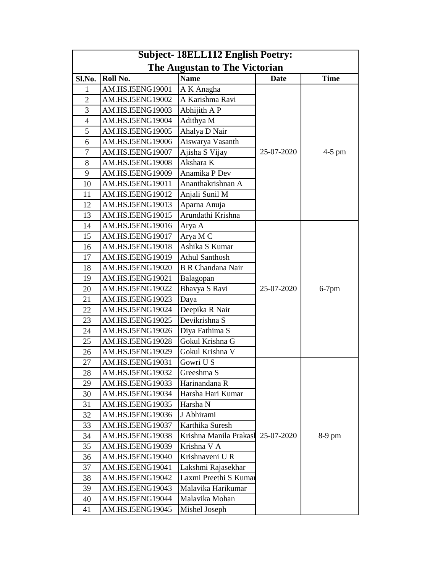| <b>Subject-18ELL112 English Poetry:</b> |                  |                          |             |             |  |
|-----------------------------------------|------------------|--------------------------|-------------|-------------|--|
| The Augustan to The Victorian           |                  |                          |             |             |  |
| Sl.No.                                  | Roll No.         | <b>Name</b>              | <b>Date</b> | <b>Time</b> |  |
| 1                                       | AM.HS.I5ENG19001 | A K Anagha               |             |             |  |
| $\overline{2}$                          | AM.HS.I5ENG19002 | A Karishma Ravi          |             |             |  |
| 3                                       | AM.HS.I5ENG19003 | Abhijith A P             |             |             |  |
| $\overline{4}$                          | AM.HS.I5ENG19004 | Adithya M                |             |             |  |
| 5                                       | AM.HS.I5ENG19005 | Ahalya D Nair            |             |             |  |
| 6                                       | AM.HS.I5ENG19006 | Aiswarya Vasanth         |             |             |  |
| 7                                       | AM.HS.I5ENG19007 | Ajisha S Vijay           | 25-07-2020  | $4-5$ pm    |  |
| 8                                       | AM.HS.I5ENG19008 | Akshara K                |             |             |  |
| 9                                       | AM.HS.I5ENG19009 | Anamika P Dev            |             |             |  |
| 10                                      | AM.HS.I5ENG19011 | Ananthakrishnan A        |             |             |  |
| 11                                      | AM.HS.I5ENG19012 | Anjali Sunil M           |             |             |  |
| 12                                      | AM.HS.I5ENG19013 | Aparna Anuja             |             |             |  |
| 13                                      | AM.HS.I5ENG19015 | Arundathi Krishna        |             |             |  |
| 14                                      | AM.HS.I5ENG19016 | Arya A                   |             |             |  |
| 15                                      | AM.HS.I5ENG19017 | Arya M C                 |             |             |  |
| 16                                      | AM.HS.I5ENG19018 | Ashika S Kumar           |             |             |  |
| 17                                      | AM.HS.I5ENG19019 | <b>Athul Santhosh</b>    |             |             |  |
| 18                                      | AM.HS.I5ENG19020 | <b>B R Chandana Nair</b> |             |             |  |
| 19                                      | AM.HS.I5ENG19021 | Balagopan                |             |             |  |
| 20                                      | AM.HS.I5ENG19022 | Bhavya S Ravi            | 25-07-2020  | $6-7$ pm    |  |
| 21                                      | AM.HS.I5ENG19023 | Daya                     |             |             |  |
| 22                                      | AM.HS.I5ENG19024 | Deepika R Nair           |             |             |  |
| 23                                      | AM.HS.I5ENG19025 | Devikrishna S            |             |             |  |
| 24                                      | AM.HS.I5ENG19026 | Diya Fathima S           |             |             |  |
| 25                                      | AM.HS.I5ENG19028 | Gokul Krishna G          |             |             |  |
| 26                                      | AM.HS.I5ENG19029 | Gokul Krishna V          |             |             |  |
| 27                                      | AM.HS.I5ENG19031 | Gowri U S                |             |             |  |
| 28                                      | AM.HS.I5ENG19032 | Greeshma S               |             |             |  |
| 29                                      | AM.HS.I5ENG19033 | Harinandana R            |             |             |  |
| 30                                      | AM.HS.I5ENG19034 | Harsha Hari Kumar        |             |             |  |
| 31                                      | AM.HS.I5ENG19035 | Harsha N                 |             |             |  |
| 32                                      | AM.HS.I5ENG19036 | J Abhirami               |             |             |  |
| 33                                      | AM.HS.I5ENG19037 | Karthika Suresh          |             |             |  |
| 34                                      | AM.HS.I5ENG19038 | Krishna Manila Prakasl   | 25-07-2020  | 8-9 pm      |  |
| 35                                      | AM.HS.I5ENG19039 | Krishna V A              |             |             |  |
| 36                                      | AM.HS.I5ENG19040 | Krishnaveni UR           |             |             |  |
| 37                                      | AM.HS.I5ENG19041 | Lakshmi Rajasekhar       |             |             |  |
| 38                                      | AM.HS.I5ENG19042 | Laxmi Preethi S Kuma     |             |             |  |
| 39                                      | AM.HS.I5ENG19043 | Malavika Harikumar       |             |             |  |
| 40                                      | AM.HS.I5ENG19044 | Malavika Mohan           |             |             |  |
| 41                                      | AM.HS.I5ENG19045 | Mishel Joseph            |             |             |  |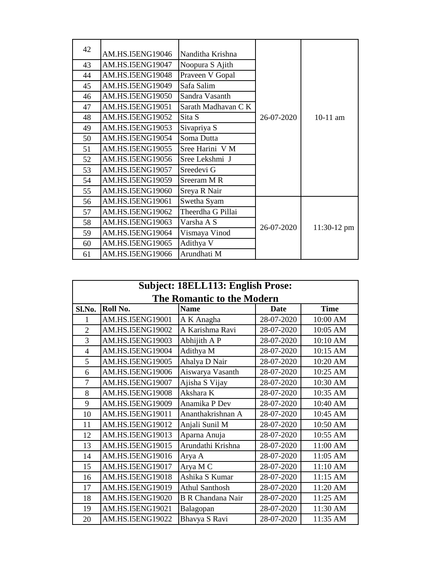| 42 | AM.HS.I5ENG19046 | Nanditha Krishna    |            |               |
|----|------------------|---------------------|------------|---------------|
| 43 | AM.HS.I5ENG19047 | Noopura S Ajith     |            |               |
| 44 | AM.HS.I5ENG19048 | Praveen V Gopal     |            |               |
| 45 | AM.HS.I5ENG19049 | Safa Salim          |            |               |
| 46 | AM.HS.I5ENG19050 | Sandra Vasanth      |            |               |
| 47 | AM.HS.I5ENG19051 | Sarath Madhavan C K |            |               |
| 48 | AM.HS.I5ENG19052 | Sita S              | 26-07-2020 | 10-11 am      |
| 49 | AM.HS.I5ENG19053 | Sivapriya S         |            |               |
| 50 | AM.HS.I5ENG19054 | Soma Dutta          |            |               |
| 51 | AM.HS.I5ENG19055 | Sree Harini V M     |            |               |
| 52 | AM.HS.I5ENG19056 | Sree Lekshmi J      |            |               |
| 53 | AM.HS.I5ENG19057 | Sreedevi G          |            |               |
| 54 | AM.HS.I5ENG19059 | Sreeram M R         |            |               |
| 55 | AM.HS.I5ENG19060 | Sreya R Nair        |            |               |
| 56 | AM.HS.I5ENG19061 | Swetha Syam         |            |               |
| 57 | AM.HS.I5ENG19062 | Theerdha G Pillai   |            | $11:30-12$ pm |
| 58 | AM.HS.I5ENG19063 | Varsha A S          | 26-07-2020 |               |
| 59 | AM.HS.I5ENG19064 | Vismaya Vinod       |            |               |
| 60 | AM.HS.I5ENG19065 | Adithya V           |            |               |
| 61 | AM.HS.I5ENG19066 | Arundhati M         |            |               |

| <b>Subject: 18ELL113: English Prose:</b> |                  |                          |             |             |  |  |
|------------------------------------------|------------------|--------------------------|-------------|-------------|--|--|
| <b>The Romantic to the Modern</b>        |                  |                          |             |             |  |  |
| Sl.No.                                   | Roll No.         | <b>Name</b>              | <b>Date</b> | <b>Time</b> |  |  |
| 1                                        | AM.HS.I5ENG19001 | A K Anagha               | 28-07-2020  | 10:00 AM    |  |  |
| $\overline{2}$                           | AM.HS.I5ENG19002 | A Karishma Ravi          | 28-07-2020  | 10:05 AM    |  |  |
| 3                                        | AM.HS.I5ENG19003 | Abhijith A P             | 28-07-2020  | 10:10 AM    |  |  |
| 4                                        | AM.HS.I5ENG19004 | Adithya M                | 28-07-2020  | 10:15 AM    |  |  |
| 5                                        | AM.HS.I5ENG19005 | Ahalya D Nair            | 28-07-2020  | 10:20 AM    |  |  |
| 6                                        | AM.HS.I5ENG19006 | Aiswarya Vasanth         | 28-07-2020  | 10:25 AM    |  |  |
| 7                                        | AM.HS.I5ENG19007 | Ajisha S Vijay           | 28-07-2020  | 10:30 AM    |  |  |
| 8                                        | AM.HS.I5ENG19008 | Akshara K                | 28-07-2020  | 10:35 AM    |  |  |
| 9                                        | AM.HS.I5ENG19009 | Anamika P Dev            | 28-07-2020  | 10:40 AM    |  |  |
| 10                                       | AM.HS.I5ENG19011 | Ananthakrishnan A        | 28-07-2020  | 10:45 AM    |  |  |
| 11                                       | AM.HS.I5ENG19012 | Anjali Sunil M           | 28-07-2020  | 10:50 AM    |  |  |
| 12                                       | AM.HS.I5ENG19013 | Aparna Anuja             | 28-07-2020  | 10:55 AM    |  |  |
| 13                                       | AM.HS.I5ENG19015 | Arundathi Krishna        | 28-07-2020  | 11:00 AM    |  |  |
| 14                                       | AM.HS.I5ENG19016 | Arya A                   | 28-07-2020  | 11:05 AM    |  |  |
| 15                                       | AM.HS.I5ENG19017 | Arya M C                 | 28-07-2020  | 11:10 AM    |  |  |
| 16                                       | AM.HS.I5ENG19018 | Ashika S Kumar           | 28-07-2020  | 11:15 AM    |  |  |
| 17                                       | AM.HS.I5ENG19019 | <b>Athul Santhosh</b>    | 28-07-2020  | 11:20 AM    |  |  |
| 18                                       | AM.HS.I5ENG19020 | <b>B R Chandana Nair</b> | 28-07-2020  | 11:25 AM    |  |  |
| 19                                       | AM.HS.I5ENG19021 | Balagopan                | 28-07-2020  | 11:30 AM    |  |  |
| 20                                       | AM.HS.I5ENG19022 | Bhavya S Ravi            | 28-07-2020  | 11:35 AM    |  |  |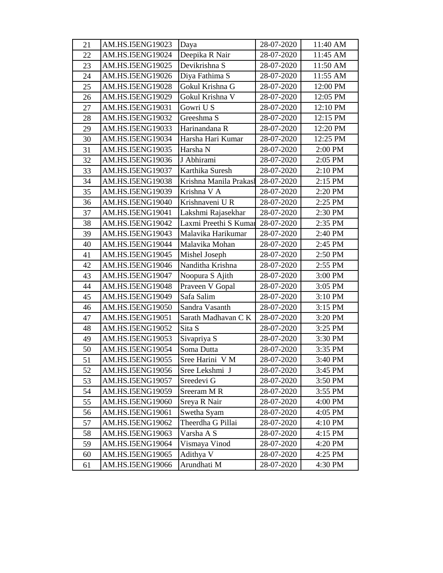| 21 | AM.HS.I5ENG19023 | Daya                   | 28-07-2020 | 11:40 AM |
|----|------------------|------------------------|------------|----------|
| 22 | AM.HS.I5ENG19024 | Deepika R Nair         | 28-07-2020 | 11:45 AM |
| 23 | AM.HS.I5ENG19025 | Devikrishna S          | 28-07-2020 | 11:50 AM |
| 24 | AM.HS.I5ENG19026 | Diya Fathima S         | 28-07-2020 | 11:55 AM |
| 25 | AM.HS.I5ENG19028 | Gokul Krishna G        | 28-07-2020 | 12:00 PM |
| 26 | AM.HS.I5ENG19029 | Gokul Krishna V        | 28-07-2020 | 12:05 PM |
| 27 | AM.HS.I5ENG19031 | Gowri U S              | 28-07-2020 | 12:10 PM |
| 28 | AM.HS.I5ENG19032 | Greeshma S             | 28-07-2020 | 12:15 PM |
| 29 | AM.HS.I5ENG19033 | Harinandana R          | 28-07-2020 | 12:20 PM |
| 30 | AM.HS.I5ENG19034 | Harsha Hari Kumar      | 28-07-2020 | 12:25 PM |
| 31 | AM.HS.I5ENG19035 | Harsha N               | 28-07-2020 | 2:00 PM  |
| 32 | AM.HS.I5ENG19036 | J Abhirami             | 28-07-2020 | 2:05 PM  |
| 33 | AM.HS.I5ENG19037 | Karthika Suresh        | 28-07-2020 | 2:10 PM  |
| 34 | AM.HS.I5ENG19038 | Krishna Manila Prakasł | 28-07-2020 | 2:15 PM  |
| 35 | AM.HS.I5ENG19039 | Krishna V A            | 28-07-2020 | 2:20 PM  |
| 36 | AM.HS.I5ENG19040 | Krishnaveni U R        | 28-07-2020 | 2:25 PM  |
| 37 | AM.HS.I5ENG19041 | Lakshmi Rajasekhar     | 28-07-2020 | 2:30 PM  |
| 38 | AM.HS.I5ENG19042 | Laxmi Preethi S Kumar  | 28-07-2020 | 2:35 PM  |
| 39 | AM.HS.I5ENG19043 | Malavika Harikumar     | 28-07-2020 | 2:40 PM  |
| 40 | AM.HS.I5ENG19044 | Malavika Mohan         | 28-07-2020 | 2:45 PM  |
| 41 | AM.HS.I5ENG19045 | Mishel Joseph          | 28-07-2020 | 2:50 PM  |
| 42 | AM.HS.I5ENG19046 | Nanditha Krishna       | 28-07-2020 | 2:55 PM  |
| 43 | AM.HS.I5ENG19047 | Noopura S Ajith        | 28-07-2020 | 3:00 PM  |
| 44 | AM.HS.I5ENG19048 | Praveen V Gopal        | 28-07-2020 | 3:05 PM  |
| 45 | AM.HS.I5ENG19049 | Safa Salim             | 28-07-2020 | 3:10 PM  |
| 46 | AM.HS.I5ENG19050 | Sandra Vasanth         | 28-07-2020 | 3:15 PM  |
| 47 | AM.HS.I5ENG19051 | Sarath Madhavan CK     | 28-07-2020 | 3:20 PM  |
| 48 | AM.HS.I5ENG19052 | Sita S                 | 28-07-2020 | 3:25 PM  |
| 49 | AM.HS.I5ENG19053 | Sivapriya S            | 28-07-2020 | 3:30 PM  |
| 50 | AM.HS.I5ENG19054 | Soma Dutta             | 28-07-2020 | 3:35 PM  |
| 51 | AM.HS.I5ENG19055 | Sree Harini V M        | 28-07-2020 | 3:40 PM  |
| 52 | AM.HS.I5ENG19056 | Sree Lekshmi J         | 28-07-2020 | 3:45 PM  |
| 53 | AM.HS.I5ENG19057 | Sreedevi G             | 28-07-2020 | 3:50 PM  |
| 54 | AM.HS.I5ENG19059 | Sreeram MR             | 28-07-2020 | 3:55 PM  |
| 55 | AM.HS.I5ENG19060 | Sreya R Nair           | 28-07-2020 | 4:00 PM  |
| 56 | AM.HS.I5ENG19061 | Swetha Syam            | 28-07-2020 | 4:05 PM  |
| 57 | AM.HS.I5ENG19062 | Theerdha G Pillai      | 28-07-2020 | 4:10 PM  |
| 58 | AM.HS.I5ENG19063 | Varsha A S             | 28-07-2020 | 4:15 PM  |
| 59 | AM.HS.I5ENG19064 | Vismaya Vinod          | 28-07-2020 | 4:20 PM  |
| 60 | AM.HS.I5ENG19065 | Adithya V              | 28-07-2020 | 4:25 PM  |
| 61 | AM.HS.I5ENG19066 | Arundhati M            | 28-07-2020 | 4:30 PM  |